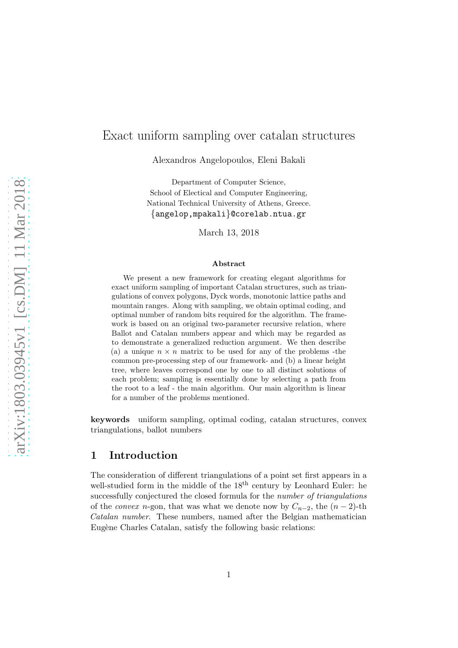# Exact uniform sampling over catalan structures

Alexandros Angelopoulos, Eleni Bakali

Department of Computer Science, School of Electical and Computer Engineering, National Technical University of Athens, Greece. {angelop,mpakali}@corelab.ntua.gr

March 13, 2018

#### Abstract

We present a new framework for creating elegant algorithms for exact uniform sampling of important Catalan structures, such as triangulations of convex polygons, Dyck words, monotonic lattice paths and mountain ranges. Along with sampling, we obtain optimal coding, and optimal number of random bits required for the algorithm. The framework is based on an original two-parameter recursive relation, where Ballot and Catalan numbers appear and which may be regarded as to demonstrate a generalized reduction argument. We then describe (a) a unique  $n \times n$  matrix to be used for any of the problems -the common pre-processing step of our framework- and (b) a linear height tree, where leaves correspond one by one to all distinct solutions of each problem; sampling is essentially done by selecting a path from the root to a leaf - the main algorithm. Our main algorithm is linear for a number of the problems mentioned.

keywords uniform sampling, optimal coding, catalan structures, convex triangulations, ballot numbers

### 1 Introduction

The consideration of different triangulations of a point set first appears in a well-studied form in the middle of the  $18<sup>th</sup>$  century by Leonhard Euler: he successfully conjectured the closed formula for the *number of triangulations* of the *convex* n-gon, that was what we denote now by  $C_{n-2}$ , the  $(n-2)$ -th *Catalan number*. These numbers, named after the Belgian mathematician Eugène Charles Catalan, satisfy the following basic relations: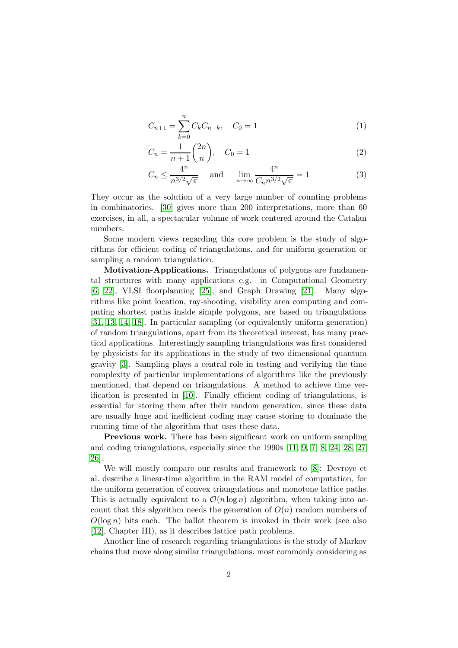$$
C_{n+1} = \sum_{k=0}^{n} C_k C_{n-k}, \quad C_0 = 1
$$
 (1)

$$
C_n = \frac{1}{n+1} \binom{2n}{n}, \quad C_0 = 1 \tag{2}
$$

<span id="page-1-0"></span>
$$
C_n \le \frac{4^n}{n^{3/2}\sqrt{\pi}} \quad \text{and} \quad \lim_{n \to \infty} \frac{4^n}{C_n n^{3/2}\sqrt{\pi}} = 1 \tag{3}
$$

They occur as the solution of a very large number of counting problems in combinatorics. [\[30\]](#page-18-0) gives more than 200 interpretations, more than 60 exercises, in all, a spectacular volume of work centered around the Catalan numbers.

Some modern views regarding this core problem is the study of algorithms for efficient coding of triangulations, and for uniform generation or sampling a random triangulation.

Motivation-Applications. Triangulations of polygons are fundamental structures with many applications e.g. in Computational Geometry [\[6,](#page-16-0) [22\]](#page-17-0), VLSI floorplanning [\[25\]](#page-18-1), and Graph Drawing [\[21\]](#page-17-1). Many algorithms like point location, ray-shooting, visibility area computing and computing shortest paths inside simple polygons, are based on triangulations [\[31,](#page-18-2) [13,](#page-17-2) [14,](#page-17-3) [18\]](#page-17-4). In particular sampling (or equivalently uniform generation) of random triangulations, apart from its theoretical interest, has many practical applications. Interestingly sampling triangulations was first considered by physicists for its applications in the study of two dimensional quantum gravity [\[3\]](#page-16-1). Sampling plays a central role in testing and verifying the time complexity of particular implementations of algorithms like the previously mentioned, that depend on triangulations. A method to achieve time verification is presented in [\[10\]](#page-17-5). Finally efficient coding of triangulations, is essential for storing them after their random generation, since these data are usually huge and inefficient coding may cause storing to dominate the running time of the algorithm that uses these data.

Previous work. There has been significant work on uniform sampling and coding triangulations, especially since the 1990s [\[11,](#page-17-6) [9,](#page-16-2) [7,](#page-16-3) [8,](#page-16-4) [24,](#page-18-3) [28,](#page-18-4) [27,](#page-18-5) [26\]](#page-18-6).

We will mostly compare our results and framework to [\[8\]](#page-16-4): Devroye et al. describe a linear-time algorithm in the RAM model of computation, for the uniform generation of convex triangulations and monotone lattice paths. This is actually equivalent to a  $\mathcal{O}(n \log n)$  algorithm, when taking into account that this algorithm needs the generation of  $O(n)$  random numbers of  $O(\log n)$  bits each. The ballot theorem is invoked in their work (see also [\[12\]](#page-17-7), Chapter III), as it describes lattice path problems.

Another line of research regarding triangulations is the study of Markov chains that move along similar triangulations, most commonly considering as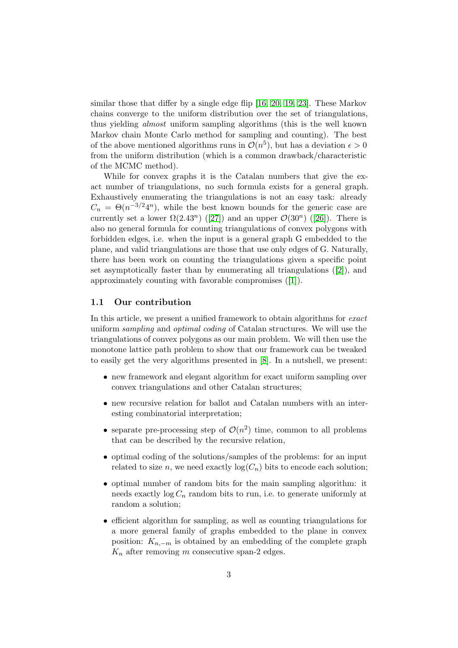similar those that differ by a single edge flip [\[16,](#page-17-8) [20,](#page-17-9) [19,](#page-17-10) [23\]](#page-17-11). These Markov chains converge to the uniform distribution over the set of triangulations, thus yielding *almost* uniform sampling algorithms (this is the well known Markov chain Monte Carlo method for sampling and counting). The best of the above mentioned algorithms runs in  $\mathcal{O}(n^5)$ , but has a deviation  $\epsilon > 0$ from the uniform distribution (which is a common drawback/characteristic of the MCMC method).

While for convex graphs it is the Catalan numbers that give the exact number of triangulations, no such formula exists for a general graph. Exhaustively enumerating the triangulations is not an easy task: already  $C_n = \Theta(n^{-3/2}4^n)$ , while the best known bounds for the generic case are currently set a lower  $\Omega(2.43^n)$  ([\[27\]](#page-18-5)) and an upper  $\mathcal{O}(30^n)$  ([\[26\]](#page-18-6)). There is also no general formula for counting triangulations of convex polygons with forbidden edges, i.e. when the input is a general graph G embedded to the plane, and valid triangulations are those that use only edges of G. Naturally, there has been work on counting the triangulations given a specific point set asymptotically faster than by enumerating all triangulations  $([2])$  $([2])$  $([2])$ , and approximately counting with favorable compromises ([\[1\]](#page-16-6)).

### 1.1 Our contribution

In this article, we present a unified framework to obtain algorithms for *exact* uniform *sampling* and *optimal coding* of Catalan structures. We will use the triangulations of convex polygons as our main problem. We will then use the monotone lattice path problem to show that our framework can be tweaked to easily get the very algorithms presented in [\[8\]](#page-16-4). In a nutshell, we present:

- new framework and elegant algorithm for exact uniform sampling over convex triangulations and other Catalan structures;
- new recursive relation for ballot and Catalan numbers with an interesting combinatorial interpretation;
- separate pre-processing step of  $\mathcal{O}(n^2)$  time, common to all problems that can be described by the recursive relation,
- optimal coding of the solutions/samples of the problems: for an input related to size n, we need exactly  $log(C_n)$  bits to encode each solution;
- optimal number of random bits for the main sampling algorithm: it needs exactly  $log C_n$  random bits to run, i.e. to generate uniformly at random a solution;
- efficient algorithm for sampling, as well as counting triangulations for a more general family of graphs embedded to the plane in convex position:  $K_{n,-m}$  is obtained by an embedding of the complete graph  $K_n$  after removing m consecutive span-2 edges.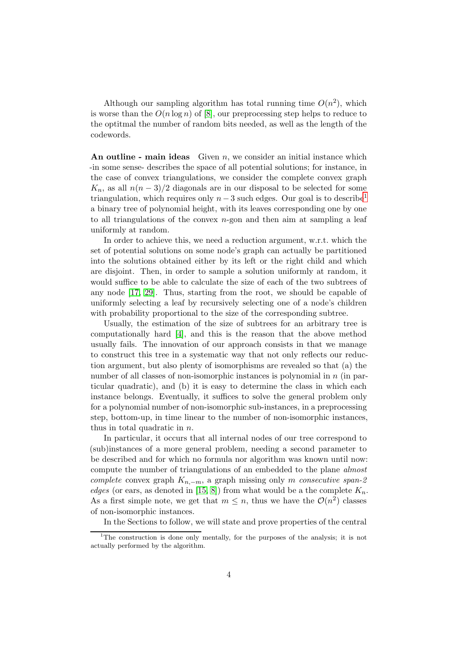Although our sampling algorithm has total running time  $O(n^2)$ , which is worse than the  $O(n \log n)$  of [\[8\]](#page-16-4), our preprocessing step helps to reduce to the optitmal the number of random bits needed, as well as the length of the codewords.

An outline - main ideas Given  $n$ , we consider an initial instance which -in some sense- describes the space of all potential solutions; for instance, in the case of convex triangulations, we consider the complete convex graph  $K_n$ , as all  $n(n-3)/2$  diagonals are in our disposal to be selected for some triangulation, which requires only  $n-3$  such edges. Our goal is to describe<sup>[1](#page-3-0)</sup> a binary tree of polynomial height, with its leaves corresponding one by one to all triangulations of the convex  $n$ -gon and then aim at sampling a leaf uniformly at random.

In order to achieve this, we need a reduction argument, w.r.t. which the set of potential solutions on some node's graph can actually be partitioned into the solutions obtained either by its left or the right child and which are disjoint. Then, in order to sample a solution uniformly at random, it would suffice to be able to calculate the size of each of the two subtrees of any node [\[17,](#page-17-12) [29\]](#page-18-7). Thus, starting from the root, we should be capable of uniformly selecting a leaf by recursively selecting one of a node's children with probability proportional to the size of the corresponding subtree.

Usually, the estimation of the size of subtrees for an arbitrary tree is computationally hard [\[4\]](#page-16-7), and this is the reason that the above method usually fails. The innovation of our approach consists in that we manage to construct this tree in a systematic way that not only reflects our reduction argument, but also plenty of isomorphisms are revealed so that (a) the number of all classes of non-isomorphic instances is polynomial in  $n$  (in particular quadratic), and (b) it is easy to determine the class in which each instance belongs. Eventually, it suffices to solve the general problem only for a polynomial number of non-isomorphic sub-instances, in a preprocessing step, bottom-up, in time linear to the number of non-isomorphic instances, thus in total quadratic in n.

In particular, it occurs that all internal nodes of our tree correspond to (sub)instances of a more general problem, needing a second parameter to be described and for which no formula nor algorithm was known until now: compute the number of triangulations of an embedded to the plane *almost complete* convex graph Kn,−m, a graph missing only m *consecutive span-2 edges* (or ears, as denoted in [\[15,](#page-17-13) [8\]](#page-16-4)) from what would be a the complete  $K_n$ . As a first simple note, we get that  $m \leq n$ , thus we have the  $\mathcal{O}(n^2)$  classes of non-isomorphic instances.

In the Sections to follow, we will state and prove properties of the central

<span id="page-3-0"></span><sup>&</sup>lt;sup>1</sup>The construction is done only mentally, for the purposes of the analysis; it is not actually performed by the algorithm.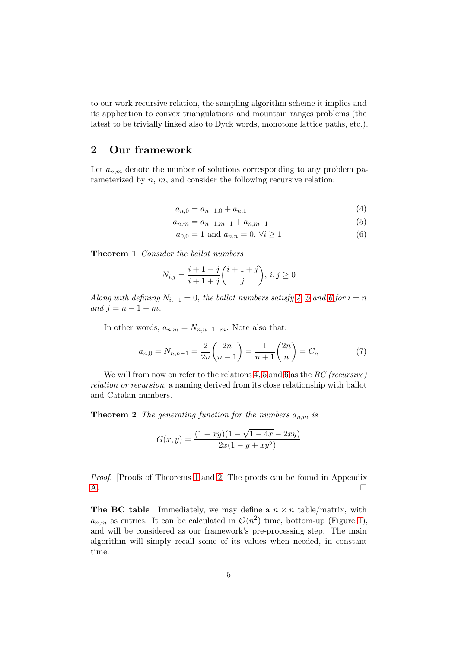to our work recursive relation, the sampling algorithm scheme it implies and its application to convex triangulations and mountain ranges problems (the latest to be trivially linked also to Dyck words, monotone lattice paths, etc.).

## 2 Our framework

Let  $a_{n,m}$  denote the number of solutions corresponding to any problem parameterized by n, m, and consider the following recursive relation:

<span id="page-4-2"></span><span id="page-4-1"></span><span id="page-4-0"></span>
$$
a_{n,0} = a_{n-1,0} + a_{n,1} \tag{4}
$$

$$
a_{n,m} = a_{n-1,m-1} + a_{n,m+1} \tag{5}
$$

$$
a_{0,0} = 1 \text{ and } a_{n,n} = 0, \forall i \ge 1
$$
 (6)

<span id="page-4-3"></span>Theorem 1 *Consider the ballot numbers*

$$
N_{i,j} = \frac{i+1-j}{i+1+j} \binom{i+1+j}{j}, \, i, j \ge 0
$$

*Along with defining*  $N_{i,-1} = 0$ *, the ballot numbers satisfy* 4*,* [5](#page-4-1) and [6](#page-4-2) for  $i = n$ *and*  $i = n - 1 - m$ *.* 

In other words,  $a_{n,m} = N_{n,n-1-m}$ . Note also that:

$$
a_{n,0} = N_{n,n-1} = \frac{2}{2n} \binom{2n}{n-1} = \frac{1}{n+1} \binom{2n}{n} = C_n \tag{7}
$$

<span id="page-4-4"></span>We will from now on refer to the relations [4,](#page-4-0) [5](#page-4-1) and [6](#page-4-2) as the *BC (recursive) relation or recursion*, a naming derived from its close relationship with ballot and Catalan numbers.

**Theorem 2** *The generating function for the numbers*  $a_{n,m}$  *is* 

$$
G(x,y) = \frac{(1 - xy)(1 - \sqrt{1 - 4x} - 2xy)}{2x(1 - y + xy^2)}
$$

*Proof.* [Proofs of Theorems [1](#page-4-3) and [2\]](#page-4-4) The proofs can be found in Appendix  $\overline{A}$ .

**The BC table** Immediately, we may define a  $n \times n$  table/matrix, with  $a_{n,m}$  as entries. It can be calculated in  $\mathcal{O}(n^2)$  time, bottom-up (Figure [1\)](#page-5-0), and will be considered as our framework's pre-processing step. The main algorithm will simply recall some of its values when needed, in constant time.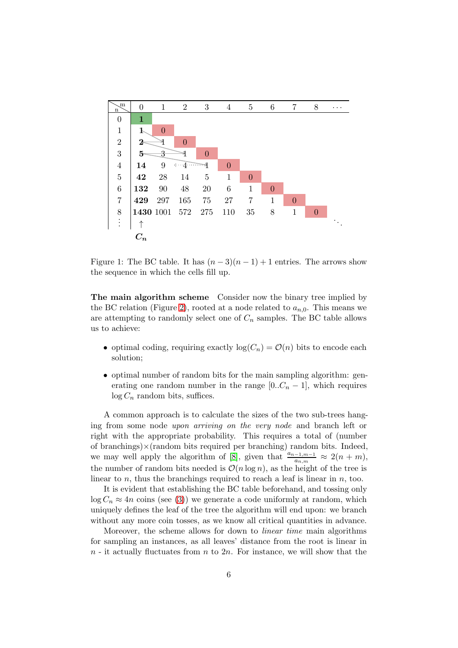

<span id="page-5-0"></span>Figure 1: The BC table. It has  $(n-3)(n-1)+1$  entries. The arrows show the sequence in which the cells fill up.

The main algorithm scheme Consider now the binary tree implied by the BC relation (Figure [2\)](#page-6-0), rooted at a node related to  $a_{n,0}$ . This means we are attempting to randomly select one of  $C_n$  samples. The BC table allows us to achieve:

- optimal coding, requiring exactly  $log(C_n) = \mathcal{O}(n)$  bits to encode each solution;
- optimal number of random bits for the main sampling algorithm: generating one random number in the range  $[0..C_n-1]$ , which requires  $log C_n$  random bits, suffices.

A common approach is to calculate the sizes of the two sub-trees hanging from some node *upon arriving on the very node* and branch left or right with the appropriate probability. This requires a total of (number of branchings $\times$ (random bits required per branching) random bits. Indeed, we may well apply the algorithm of [\[8\]](#page-16-4), given that  $\frac{a_{n-1,m-1}}{a_{n,m}} \approx 2(n+m)$ , the number of random bits needed is  $\mathcal{O}(n \log n)$ , as the height of the tree is linear to n, thus the branchings required to reach a leaf is linear in  $n$ , too.

It is evident that establishing the BC table beforehand, and tossing only  $\log C_n \approx 4n$  coins (see [\(3\)](#page-1-0)) we generate a code uniformly at random, which uniquely defines the leaf of the tree the algorithm will end upon: we branch without any more coin tosses, as we know all critical quantities in advance.

Moreover, the scheme allows for down to *linear time* main algorithms for sampling an instances, as all leaves' distance from the root is linear in  $n -$  it actually fluctuates from n to  $2n$ . For instance, we will show that the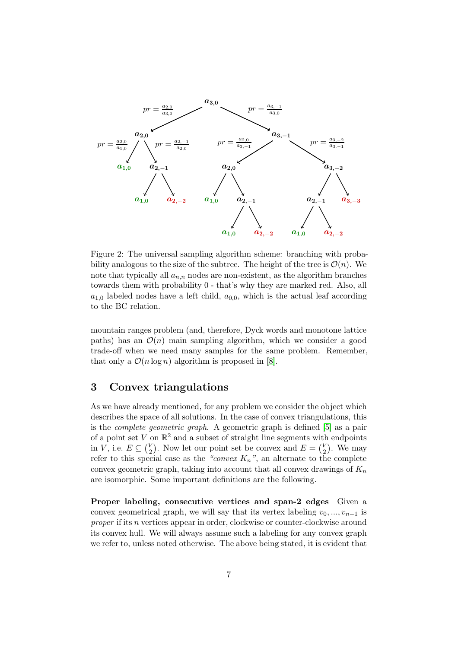

<span id="page-6-0"></span>Figure 2: The universal sampling algorithm scheme: branching with probability analogous to the size of the subtree. The height of the tree is  $\mathcal{O}(n)$ . We note that typically all  $a_{n,n}$  nodes are non-existent, as the algorithm branches towards them with probability 0 - that's why they are marked red. Also, all  $a_{1,0}$  labeled nodes have a left child,  $a_{0,0}$ , which is the actual leaf according to the BC relation.

mountain ranges problem (and, therefore, Dyck words and monotone lattice paths) has an  $\mathcal{O}(n)$  main sampling algorithm, which we consider a good trade-off when we need many samples for the same problem. Remember, that only a  $\mathcal{O}(n \log n)$  algorithm is proposed in [\[8\]](#page-16-4).

### 3 Convex triangulations

As we have already mentioned, for any problem we consider the object which describes the space of all solutions. In the case of convex triangulations, this is the *complete geometric graph*. A geometric graph is defined [\[5\]](#page-16-8) as a pair of a point set V on  $\mathbb{R}^2$  and a subset of straight line segments with endpoints in *V*, i.e.  $E \subseteq {V \choose 2}$  $\binom{V}{2}$ . Now let our point set be convex and  $E = \binom{V}{2}$  $_{2}^{V}$ ). We may refer to this special case as the *"convex*  $K_n$ ", an alternate to the complete convex geometric graph, taking into account that all convex drawings of  $K_n$ are isomorphic. Some important definitions are the following.

Proper labeling, consecutive vertices and span-2 edges Given a convex geometrical graph, we will say that its vertex labeling  $v_0, ..., v_{n-1}$  is *proper* if its *n* vertices appear in order, clockwise or counter-clockwise around its convex hull. We will always assume such a labeling for any convex graph we refer to, unless noted otherwise. The above being stated, it is evident that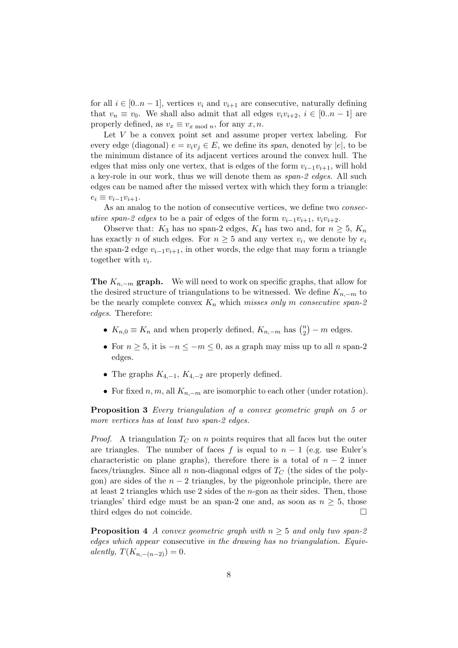for all  $i \in [0..n-1]$ , vertices  $v_i$  and  $v_{i+1}$  are consecutive, naturally defining that  $v_n \equiv v_0$ . We shall also admit that all edges  $v_i v_{i+2}$ ,  $i \in [0..n-1]$  are properly defined, as  $v_x \equiv v_{x \mod n}$ , for any  $x, n$ .

Let V be a convex point set and assume proper vertex labeling. For every edge (diagonal)  $e = v_i v_j \in E$ , we define its *span*, denoted by  $|e|$ , to be the minimum distance of its adjacent vertices around the convex hull. The edges that miss only one vertex, that is edges of the form  $v_{i-1}v_{i+1}$ , will hold a key-role in our work, thus we will denote them as *span-2 edges*. All such edges can be named after the missed vertex with which they form a triangle:  $e_i \equiv v_{i-1}v_{i+1}.$ 

As an analog to the notion of consecutive vertices, we define two *consecutive span-2 edges* to be a pair of edges of the form  $v_{i-1}v_{i+1}$ ,  $v_iv_{i+2}$ .

Observe that:  $K_3$  has no span-2 edges,  $K_4$  has two and, for  $n \geq 5$ ,  $K_n$ has exactly *n* of such edges. For  $n \geq 5$  and any vertex  $v_i$ , we denote by  $e_i$ the span-2 edge  $v_{i-1}v_{i+1}$ , in other words, the edge that may form a triangle together with  $v_i$ .

**The**  $K_{n,-m}$  graph. We will need to work on specific graphs, that allow for the desired structure of triangulations to be witnessed. We define  $K_{n,-m}$  to be the nearly complete convex  $K_n$  which *misses only* m *consecutive span-2 edges*. Therefore:

- $K_{n,0} \equiv K_n$  and when properly defined,  $K_{n,-m}$  has  $\binom{n}{2}$  $\binom{n}{2} - m$  edges.
- For  $n \geq 5$ , it is  $-n \leq -m \leq 0$ , as a graph may miss up to all n span-2 edges.
- The graphs  $K_{4,-1}$ ,  $K_{4,-2}$  are properly defined.
- For fixed n, m, all  $K_{n-m}$  are isomorphic to each other (under rotation).

<span id="page-7-0"></span>Proposition 3 *Every triangulation of a convex geometric graph on 5 or more vertices has at least two span-2 edges.*

*Proof.* A triangulation  $T_C$  on n points requires that all faces but the outer are triangles. The number of faces f is equal to  $n-1$  (e.g. use Euler's characteristic on plane graphs), therefore there is a total of  $n-2$  inner faces/triangles. Since all n non-diagonal edges of  $T_{\text{C}}$  (the sides of the polygon) are sides of the  $n-2$  triangles, by the pigeonhole principle, there are at least 2 triangles which use 2 sides of the  $n$ -gon as their sides. Then, those triangles' third edge must be an span-2 one and, as soon as  $n \geq 5$ , those third edges do not coincide. third edges do not coincide.

<span id="page-7-1"></span>**Proposition 4** *A convex geometric graph with*  $n \geq 5$  *and only two span-2 edges which appear* consecutive *in the drawing has no triangulation. Equivalently,*  $T(K_{n,-(n-2)}) = 0$ .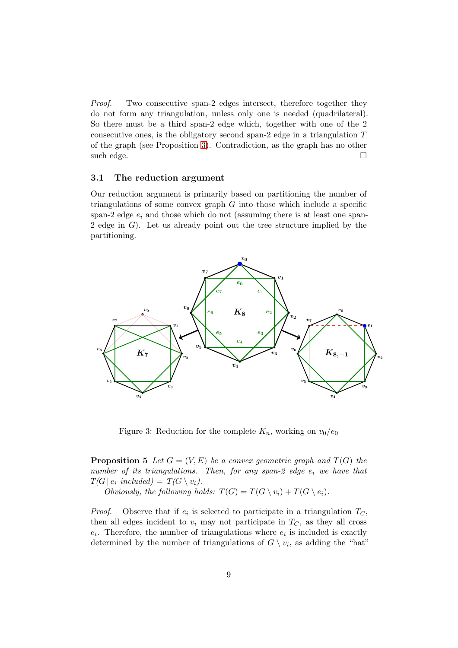*Proof.* Two consecutive span-2 edges intersect, therefore together they do not form any triangulation, unless only one is needed (quadrilateral). So there must be a third span-2 edge which, together with one of the 2 consecutive ones, is the obligatory second span-2 edge in a triangulation T of the graph (see Proposition [3\)](#page-7-0). Contradiction, as the graph has no other such edge.  $\Box$ 

#### 3.1 The reduction argument

Our reduction argument is primarily based on partitioning the number of triangulations of some convex graph  $G$  into those which include a specific span-2 edge  $e_i$  and those which do not (assuming there is at least one span-2 edge in  $G$ ). Let us already point out the tree structure implied by the partitioning.



<span id="page-8-0"></span>Figure 3: Reduction for the complete  $K_n$ , working on  $v_0/e_0$ 

**Proposition 5** Let  $G = (V, E)$  be a convex geometric graph and  $T(G)$  the *number of its triangulations. Then, for any span-2 edge*  $e_i$  *we have that*  $T(G \mid e_i \text{ included}) = T(G \setminus v_i).$ 

*Obviously, the following holds:*  $T(G) = T(G \setminus v_i) + T(G \setminus e_i)$ *.* 

*Proof.* Observe that if  $e_i$  is selected to participate in a triangulation  $T_C$ , then all edges incident to  $v_i$  may not participate in  $T_c$ , as they all cross  $e_i$ . Therefore, the number of triangulations where  $e_i$  is included is exactly determined by the number of triangulations of  $G \setminus v_i$ , as adding the "hat"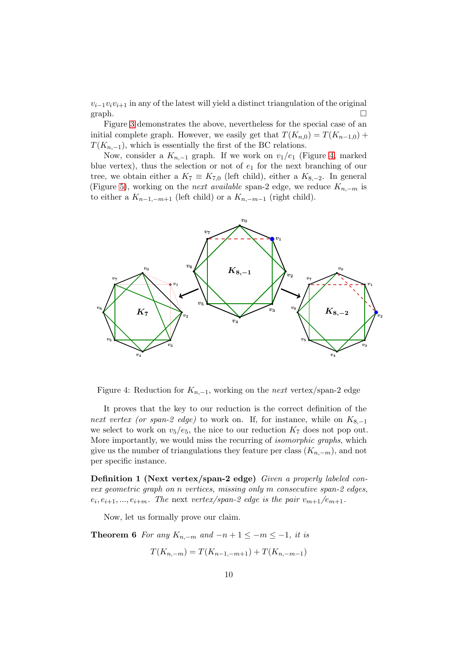$v_{i-1}v_iv_{i+1}$  in any of the latest will yield a distinct triangulation of the original graph.  $\square$ 

Figure [3](#page-8-0) demonstrates the above, nevertheless for the special case of an initial complete graph. However, we easily get that  $T(K_{n,0}) = T(K_{n-1,0}) +$  $T(K_{n,-1}),$  which is essentially the first of the BC relations.

Now, consider a  $K_{n-1}$  graph. If we work on  $v_1/e_1$  (Figure [4,](#page-9-0) marked blue vertex), thus the selection or not of  $e_1$  for the next branching of our tree, we obtain either a  $K_7 \equiv K_{7,0}$  (left child), either a  $K_{8,-2}$ . In general (Figure [5\)](#page-10-0), working on the *next available* span-2 edge, we reduce  $K_{n,-m}$  is to either a  $K_{n-1,-m+1}$  (left child) or a  $K_{n,-m-1}$  (right child).



<span id="page-9-0"></span>Figure 4: Reduction for  $K_{n,-1}$ , working on the *next* vertex/span-2 edge

It proves that the key to our reduction is the correct definition of the *next vertex (or span-2 edge)* to work on. If, for instance, while on  $K_{8,-1}$ we select to work on  $v_5/e_5$ , the nice to our reduction  $K_7$  does not pop out. More importantly, we would miss the recurring of *isomorphic graphs*, which give us the number of triangulations they feature per class  $(K_{n,-m})$ , and not per specific instance.

Definition 1 (Next vertex/span-2 edge) *Given a properly labeled convex geometric graph on* n *vertices, missing only* m *consecutive span-2 edges,*  $e_i, e_{i+1}, ..., e_{i+m}$ . The next *vertex/span-2 edge is the pair*  $v_{m+1}/e_{m+1}$ .

Now, let us formally prove our claim.

**Theorem 6** For any  $K_{n,-m}$  and  $-n+1 \leq -m \leq -1$ , it is

$$
T(K_{n,-m}) = T(K_{n-1,-m+1}) + T(K_{n,-m-1})
$$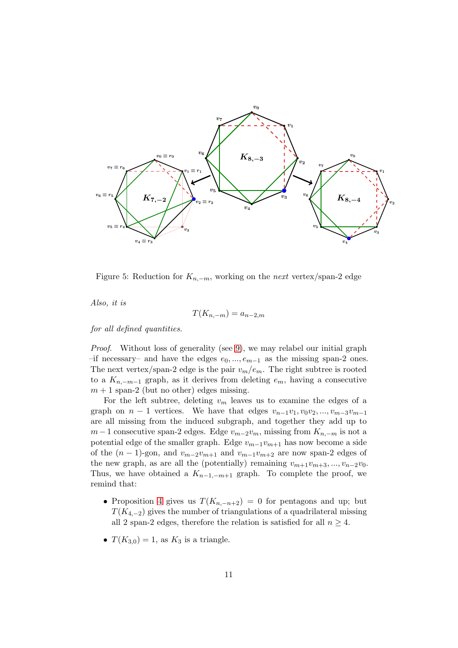

<span id="page-10-0"></span>Figure 5: Reduction for  $K_{n,-m}$ , working on the *next* vertex/span-2 edge

*Also, it is*

$$
T(K_{n,-m}) = a_{n-2,m}
$$

*for all defined quantities.*

*Proof.* Without loss of generality (see [9\)](#page-14-0), we may relabel our initial graph  $-$ if necessary– and have the edges  $e_0, ..., e_{m-1}$  as the missing span-2 ones. The next vertex/span-2 edge is the pair  $v_m/e_m$ . The right subtree is rooted to a  $K_{n,-m-1}$  graph, as it derives from deleting  $e_m$ , having a consecutive  $m + 1$  span-2 (but no other) edges missing.

For the left subtree, deleting  $v_m$  leaves us to examine the edges of a graph on  $n-1$  vertices. We have that edges  $v_{n-1}v_1, v_0v_2, ..., v_{m-3}v_{m-1}$ are all missing from the induced subgraph, and together they add up to  $m-1$  consecutive span-2 edges. Edge  $v_{m-2}v_m$ , missing from  $K_{n,-m}$  is not a potential edge of the smaller graph. Edge  $v_{m-1}v_{m+1}$  has now become a side of the  $(n-1)$ -gon, and  $v_{m-2}v_{m+1}$  and  $v_{m-1}v_{m+2}$  are now span-2 edges of the new graph, as are all the (potentially) remaining  $v_{m+1}v_{m+3}, ..., v_{n-2}v_0$ . Thus, we have obtained a  $K_{n-1,-m+1}$  graph. To complete the proof, we remind that:

- Proposition [4](#page-7-1) gives us  $T(K_{n,-n+2}) = 0$  for pentagons and up; but  $T(K_{4,-2})$  gives the number of triangulations of a quadrilateral missing all 2 span-2 edges, therefore the relation is satisfied for all  $n \geq 4$ .
- $T(K_{3,0})=1$ , as  $K_3$  is a triangle.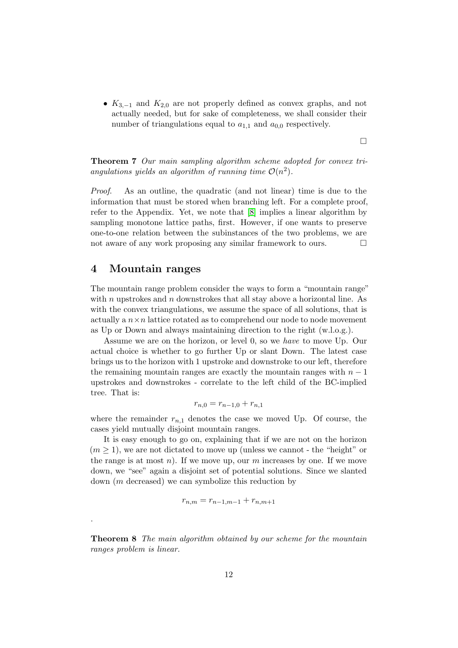•  $K_{3,-1}$  and  $K_{2,0}$  are not properly defined as convex graphs, and not actually needed, but for sake of completeness, we shall consider their number of triangulations equal to  $a_{1,1}$  and  $a_{0,0}$  respectively.

 $\Box$ 

Theorem 7 *Our main sampling algorithm scheme adopted for convex tri*angulations yields an algorithm of running time  $\mathcal{O}(n^2)$ .

*Proof*. As an outline, the quadratic (and not linear) time is due to the information that must be stored when branching left. For a complete proof, refer to the Appendix. Yet, we note that [\[8\]](#page-16-4) implies a linear algorithm by sampling monotone lattice paths, first. However, if one wants to preserve one-to-one relation between the subinstances of the two problems, we are not aware of any work proposing any similar framework to ours.  $\Box$ 

## 4 Mountain ranges

.

The mountain range problem consider the ways to form a "mountain range" with n upstrokes and  $n$  downstrokes that all stay above a horizontal line. As with the convex triangulations, we assume the space of all solutions, that is actually a  $n \times n$  lattice rotated as to comprehend our node to node movement as Up or Down and always maintaining direction to the right (w.l.o.g.).

Assume we are on the horizon, or level 0, so we *have* to move Up. Our actual choice is whether to go further Up or slant Down. The latest case brings us to the horizon with 1 upstroke and downstroke to our left, therefore the remaining mountain ranges are exactly the mountain ranges with  $n-1$ upstrokes and downstrokes - correlate to the left child of the BC-implied tree. That is:

$$
r_{n,0} = r_{n-1,0} + r_{n,1}
$$

where the remainder  $r_{n,1}$  denotes the case we moved Up. Of course, the cases yield mutually disjoint mountain ranges.

It is easy enough to go on, explaining that if we are not on the horizon  $(m \geq 1)$ , we are not dictated to move up (unless we cannot - the "height" or the range is at most  $n$ ). If we move up, our  $m$  increases by one. If we move down, we "see" again a disjoint set of potential solutions. Since we slanted down (m decreased) we can symbolize this reduction by

$$
r_{n,m} = r_{n-1,m-1} + r_{n,m+1}
$$

Theorem 8 *The main algorithm obtained by our scheme for the mountain ranges problem is linear.*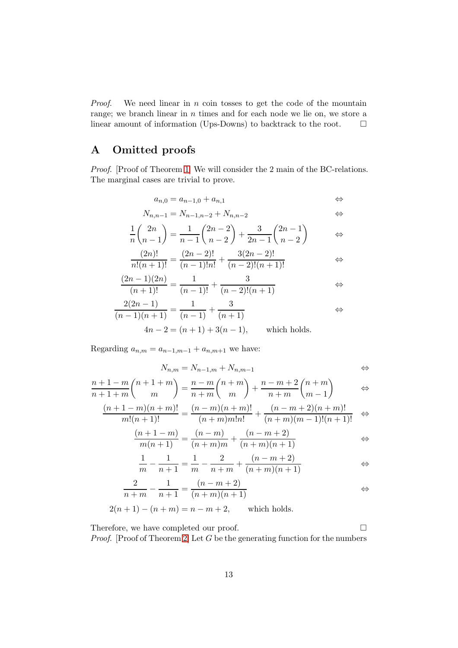*Proof.* We need linear in n coin tosses to get the code of the mountain range; we branch linear in n times and for each node we lie on, we store a linear amount of information (Ups-Downs) to backtrack to the root.  $\Box$ 

## <span id="page-12-0"></span>A Omitted proofs

*Proof.* [Proof of Theorem [1\]](#page-4-3) We will consider the 2 main of the BC-relations. The marginal cases are trivial to prove.

$$
a_{n,0} = a_{n-1,0} + a_{n,1} \qquad \qquad \Leftrightarrow \qquad
$$

$$
N_{n,n-1} = N_{n-1,n-2} + N_{n,n-2} \qquad \qquad \Leftrightarrow
$$

$$
\frac{1}{n} \binom{2n}{n-1} = \frac{1}{n-1} \binom{2n-2}{n-2} + \frac{3}{2n-1} \binom{2n-1}{n-2} \qquad \Leftrightarrow
$$

$$
\frac{(2n)!}{n!(n+1)!} = \frac{(2n-2)!}{(n-1)!n!} + \frac{3(2n-2)!}{(n-2)!(n+1)!} \qquad \Leftrightarrow
$$

$$
\frac{(2n-1)(2n)}{(n+1)!} = \frac{1}{(n-1)!} + \frac{3}{(n-2)!(n+1)} \qquad \Leftrightarrow
$$

$$
\frac{2(2n-1)}{(n-1)(n+1)} = \frac{1}{(n-1)} + \frac{3}{(n+1)}
$$
  
 
$$
4n - 2 = (n+1) + 3(n-1),
$$
 which holds.

Regarding  $a_{n,m} = a_{n-1,m-1} + a_{n,m+1}$  we have:

$$
N_{n,m} = N_{n-1,m} + N_{n,m-1} \qquad \qquad \Leftrightarrow
$$

$$
\frac{n+1-m}{n+1+m} \binom{n+1+m}{m} = \frac{n-m}{n+m} \binom{n+m}{m} + \frac{n-m+2}{n+m} \binom{n+m}{m-1} \qquad \Leftrightarrow
$$

$$
\frac{(n+1-m)(n+m)!}{m!(n+1)!} = \frac{(n-m)(n+m)!}{(n+m)m!n!} + \frac{(n-m+2)(n+m)!}{(n+m)(m-1)!(n+1)!} \Leftrightarrow
$$

$$
\frac{(n+1-m)}{m(n+1)} = \frac{(n-m)}{(n+m)m} + \frac{(n-m+2)}{(n+m)(n+1)} \qquad \Leftrightarrow
$$

$$
\frac{1}{m} - \frac{1}{n+1} = \frac{1}{m} - \frac{2}{n+m} + \frac{(n-m+2)}{(n+m)(n+1)} \qquad \Leftrightarrow
$$

$$
\frac{2}{n+m} - \frac{1}{n+1} = \frac{(n-m+2)}{(n+m)(n+1)} \qquad \Leftrightarrow
$$

$$
2(n + 1) - (n + m) = n - m + 2
$$
, which holds.

Therefore, we have completed our proof.  $\Box$ *Proof.* [Proof of Theorem [2\]](#page-4-4) Let G be the generating function for the numbers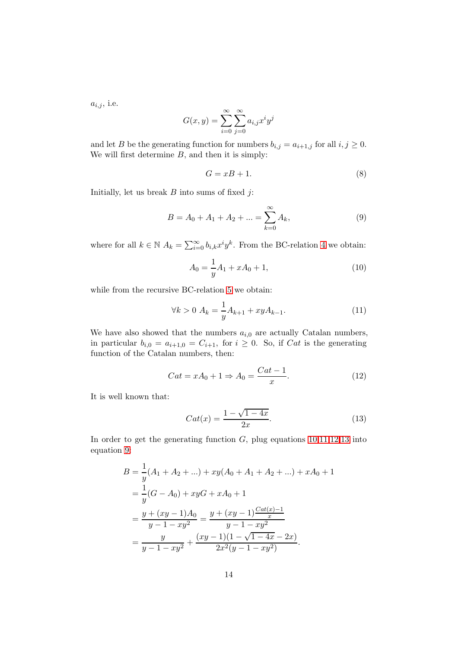$a_{i,j}$ , i.e.

$$
G(x,y) = \sum_{i=0}^{\infty} \sum_{j=0}^{\infty} a_{i,j} x^i y^j
$$

and let B be the generating function for numbers  $b_{i,j} = a_{i+1,j}$  for all  $i, j \ge 0$ . We will first determine  $B$ , and then it is simply:

<span id="page-13-5"></span>
$$
G = xB + 1.\t\t(8)
$$

Initially, let us break  $B$  into sums of fixed  $j$ :

<span id="page-13-4"></span>
$$
B = A_0 + A_1 + A_2 + \dots = \sum_{k=0}^{\infty} A_k,
$$
\n(9)

where for all  $k \in \mathbb{N}$   $A_k = \sum_{i=0}^{\infty} b_{i,k} x^i y^k$ . From the BC-relation [4](#page-4-0) we obtain:

<span id="page-13-0"></span>
$$
A_0 = \frac{1}{y}A_1 + xA_0 + 1,\tag{10}
$$

while from the recursive BC-relation [5](#page-4-1) we obtain:

<span id="page-13-1"></span>
$$
\forall k > 0 \ A_k = \frac{1}{y} A_{k+1} + xy A_{k-1}.
$$
 (11)

We have also showed that the numbers  $a_{i,0}$  are actually Catalan numbers, in particular  $b_{i,0} = a_{i+1,0} = C_{i+1}$ , for  $i \geq 0$ . So, if Cat is the generating function of the Catalan numbers, then:

<span id="page-13-2"></span>
$$
Cat = xA_0 + 1 \Rightarrow A_0 = \frac{Cat - 1}{x}.
$$
\n(12)

It is well known that:

<span id="page-13-3"></span>
$$
Cat(x) = \frac{1 - \sqrt{1 - 4x}}{2x}.
$$
 (13)

In order to get the generating function  $G$ , plug equations  $10,11,12,13$  $10,11,12,13$  $10,11,12,13$  $10,11,12,13$  into equation [9:](#page-13-4)

$$
B = \frac{1}{y}(A_1 + A_2 + ...) + xy(A_0 + A_1 + A_2 + ...) + xA_0 + 1
$$
  
= 
$$
\frac{1}{y}(G - A_0) + xyG + xA_0 + 1
$$
  
= 
$$
\frac{y + (xy - 1)A_0}{y - 1 - xy^2} = \frac{y + (xy - 1)\frac{Cat(x) - 1}{x}}{y - 1 - xy^2}
$$
  
= 
$$
\frac{y}{y - 1 - xy^2} + \frac{(xy - 1)(1 - \sqrt{1 - 4x} - 2x)}{2x^2(y - 1 - xy^2)}.
$$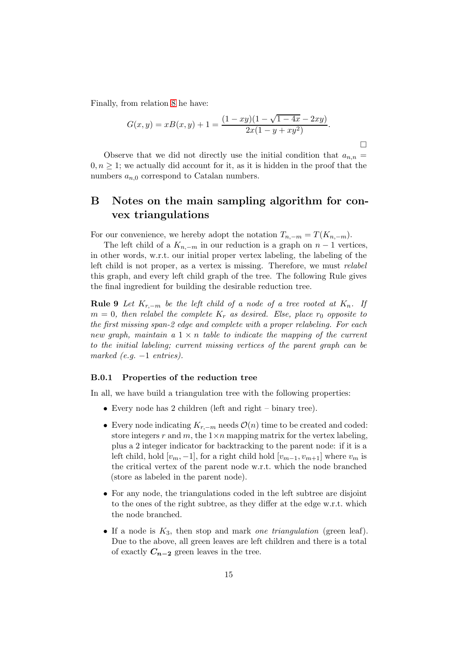Finally, from relation [8](#page-13-5) he have:

$$
G(x,y) = xB(x,y) + 1 = \frac{(1 - xy)(1 - \sqrt{1 - 4x} - 2xy)}{2x(1 - y + xy^2)}.
$$

П

Observe that we did not directly use the initial condition that  $a_{n,n} =$  $0, n \geq 1$ ; we actually did account for it, as it is hidden in the proof that the numbers  $a_{n,0}$  correspond to Catalan numbers.

## B Notes on the main sampling algorithm for convex triangulations

For our convenience, we hereby adopt the notation  $T_{n,-m} = T(K_{n,-m}).$ 

The left child of a  $K_{n,-m}$  in our reduction is a graph on  $n-1$  vertices, in other words, w.r.t. our initial proper vertex labeling, the labeling of the left child is not proper, as a vertex is missing. Therefore, we must *relabel* this graph, and every left child graph of the tree. The following Rule gives the final ingredient for building the desirable reduction tree.

<span id="page-14-0"></span>**Rule 9** *Let*  $K_{r,-m}$  *be the left child of a node of a tree rooted at*  $K_n$ . If  $m = 0$ , then relabel the complete  $K_r$  as desired. Else, place  $r_0$  opposite to *the first missing span-2 edge and complete with a proper relabeling. For each new graph, maintain a* 1 × n *table to indicate the mapping of the current to the initial labeling; current missing vertices of the parent graph can be marked (e.g.* −1 *entries).*

#### B.0.1 Properties of the reduction tree

In all, we have build a triangulation tree with the following properties:

- Every node has 2 children (left and right binary tree).
- Every node indicating  $K_{r,-m}$  needs  $\mathcal{O}(n)$  time to be created and coded: store integers r and m, the  $1 \times n$  mapping matrix for the vertex labeling, plus a 2 integer indicator for backtracking to the parent node: if it is a left child, hold  $[v_m, -1]$ , for a right child hold  $[v_{m-1}, v_{m+1}]$  where  $v_m$  is the critical vertex of the parent node w.r.t. which the node branched (store as labeled in the parent node).
- For any node, the triangulations coded in the left subtree are disjoint to the ones of the right subtree, as they differ at the edge w.r.t. which the node branched.
- If a node is K3, then stop and mark *one triangulation* (green leaf). Due to the above, all green leaves are left children and there is a total of exactly  $C_{n-2}$  green leaves in the tree.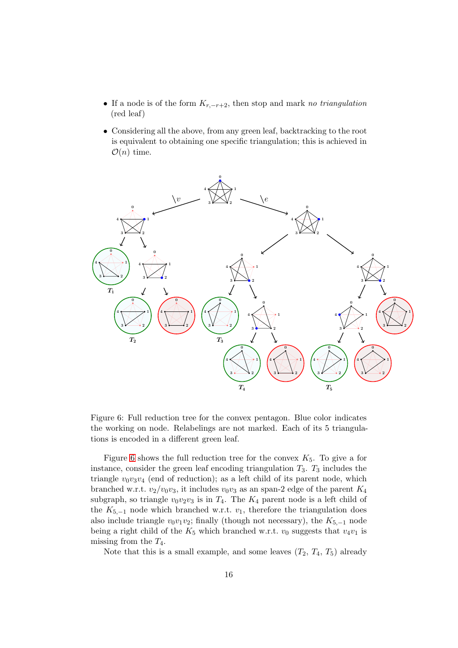- If a node is of the form Kr,−r+2, then stop and mark *no triangulation* (red leaf)
- Considering all the above, from any green leaf, backtracking to the root is equivalent to obtaining one specific triangulation; this is achieved in  $\mathcal{O}(n)$  time.



<span id="page-15-0"></span>Figure 6: Full reduction tree for the convex pentagon. Blue color indicates the working on node. Relabelings are not marked. Each of its 5 triangulations is encoded in a different green leaf.

Figure [6](#page-15-0) shows the full reduction tree for the convex  $K_5$ . To give a for instance, consider the green leaf encoding triangulation  $T_3$ .  $T_3$  includes the triangle  $v_0v_3v_4$  (end of reduction); as a left child of its parent node, which branched w.r.t.  $v_2/v_0v_3$ , it includes  $v_0v_3$  as an span-2 edge of the parent  $K_4$ subgraph, so triangle  $v_0v_2v_3$  is in  $T_4$ . The  $K_4$  parent node is a left child of the  $K_{5,-1}$  node which branched w.r.t.  $v_1$ , therefore the triangulation does also include triangle  $v_0v_1v_2$ ; finally (though not necessary), the  $K_{5,-1}$  node being a right child of the  $K_5$  which branched w.r.t.  $v_0$  suggests that  $v_4v_1$  is missing from the  $T_4$ .

Note that this is a small example, and some leaves  $(T_2, T_4, T_5)$  already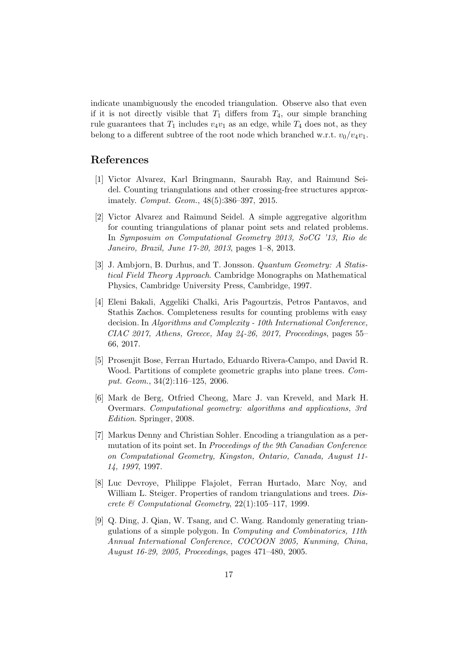indicate unambiguously the encoded triangulation. Observe also that even if it is not directly visible that  $T_1$  differs from  $T_4$ , our simple branching rule guarantees that  $T_1$  includes  $v_4v_1$  as an edge, while  $T_4$  does not, as they belong to a different subtree of the root node which branched w.r.t.  $v_0/v_4v_1$ .

## <span id="page-16-6"></span>References

- [1] Victor Alvarez, Karl Bringmann, Saurabh Ray, and Raimund Seidel. Counting triangulations and other crossing-free structures approximately. *Comput. Geom.*, 48(5):386–397, 2015.
- <span id="page-16-5"></span>[2] Victor Alvarez and Raimund Seidel. A simple aggregative algorithm for counting triangulations of planar point sets and related problems. In *Symposuim on Computational Geometry 2013, SoCG '13, Rio de Janeiro, Brazil, June 17-20, 2013*, pages 1–8, 2013.
- <span id="page-16-1"></span>[3] J. Ambjorn, B. Durhus, and T. Jonsson. *Quantum Geometry: A Statistical Field Theory Approach*. Cambridge Monographs on Mathematical Physics, Cambridge University Press, Cambridge, 1997.
- <span id="page-16-7"></span>[4] Eleni Bakali, Aggeliki Chalki, Aris Pagourtzis, Petros Pantavos, and Stathis Zachos. Completeness results for counting problems with easy decision. In *Algorithms and Complexity - 10th International Conference, CIAC 2017, Athens, Greece, May 24-26, 2017, Proceedings*, pages 55– 66, 2017.
- <span id="page-16-8"></span>[5] Prosenjit Bose, Ferran Hurtado, Eduardo Rivera-Campo, and David R. Wood. Partitions of complete geometric graphs into plane trees. *Comput. Geom.*, 34(2):116–125, 2006.
- <span id="page-16-0"></span>[6] Mark de Berg, Otfried Cheong, Marc J. van Kreveld, and Mark H. Overmars. *Computational geometry: algorithms and applications, 3rd Edition*. Springer, 2008.
- <span id="page-16-3"></span>[7] Markus Denny and Christian Sohler. Encoding a triangulation as a permutation of its point set. In *Proceedings of the 9th Canadian Conference on Computational Geometry, Kingston, Ontario, Canada, August 11- 14, 1997*, 1997.
- <span id="page-16-4"></span>[8] Luc Devroye, Philippe Flajolet, Ferran Hurtado, Marc Noy, and William L. Steiger. Properties of random triangulations and trees. *Discrete & Computational Geometry*, 22(1):105–117, 1999.
- <span id="page-16-2"></span>[9] Q. Ding, J. Qian, W. Tsang, and C. Wang. Randomly generating triangulations of a simple polygon. In *Computing and Combinatorics, 11th Annual International Conference, COCOON 2005, Kunming, China, August 16-29, 2005, Proceedings*, pages 471–480, 2005.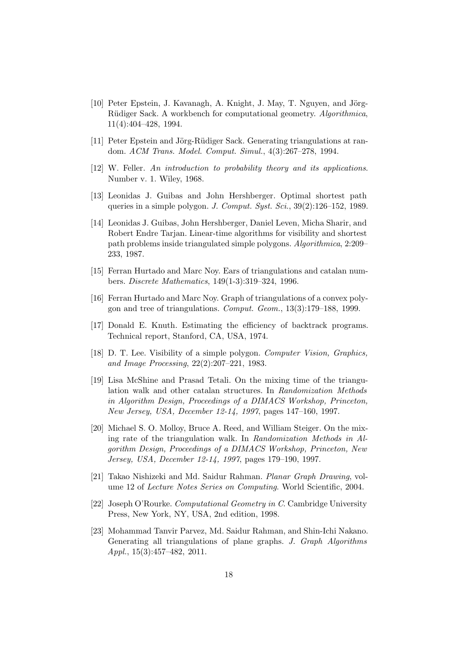- <span id="page-17-5"></span>[10] Peter Epstein, J. Kavanagh, A. Knight, J. May, T. Nguyen, and Jörg-R¨udiger Sack. A workbench for computational geometry. *Algorithmica*, 11(4):404–428, 1994.
- <span id="page-17-7"></span><span id="page-17-6"></span>[11] Peter Epstein and Jörg-Rüdiger Sack. Generating triangulations at random. *ACM Trans. Model. Comput. Simul.*, 4(3):267–278, 1994.
- <span id="page-17-2"></span>[12] W. Feller. *An introduction to probability theory and its applications*. Number v. 1. Wiley, 1968.
- <span id="page-17-3"></span>[13] Leonidas J. Guibas and John Hershberger. Optimal shortest path queries in a simple polygon. *J. Comput. Syst. Sci.*, 39(2):126–152, 1989.
- [14] Leonidas J. Guibas, John Hershberger, Daniel Leven, Micha Sharir, and Robert Endre Tarjan. Linear-time algorithms for visibility and shortest path problems inside triangulated simple polygons. *Algorithmica*, 2:209– 233, 1987.
- <span id="page-17-13"></span>[15] Ferran Hurtado and Marc Noy. Ears of triangulations and catalan numbers. *Discrete Mathematics*, 149(1-3):319–324, 1996.
- <span id="page-17-12"></span><span id="page-17-8"></span>[16] Ferran Hurtado and Marc Noy. Graph of triangulations of a convex polygon and tree of triangulations. *Comput. Geom.*, 13(3):179–188, 1999.
- <span id="page-17-4"></span>[17] Donald E. Knuth. Estimating the efficiency of backtrack programs. Technical report, Stanford, CA, USA, 1974.
- [18] D. T. Lee. Visibility of a simple polygon. *Computer Vision, Graphics, and Image Processing*, 22(2):207–221, 1983.
- <span id="page-17-10"></span>[19] Lisa McShine and Prasad Tetali. On the mixing time of the triangulation walk and other catalan structures. In *Randomization Methods in Algorithm Design, Proceedings of a DIMACS Workshop, Princeton, New Jersey, USA, December 12-14, 1997*, pages 147–160, 1997.
- <span id="page-17-9"></span>[20] Michael S. O. Molloy, Bruce A. Reed, and William Steiger. On the mixing rate of the triangulation walk. In *Randomization Methods in Algorithm Design, Proceedings of a DIMACS Workshop, Princeton, New Jersey, USA, December 12-14, 1997*, pages 179–190, 1997.
- <span id="page-17-1"></span>[21] Takao Nishizeki and Md. Saidur Rahman. *Planar Graph Drawing*, volume 12 of *Lecture Notes Series on Computing*. World Scientific, 2004.
- <span id="page-17-0"></span>[22] Joseph O'Rourke. *Computational Geometry in C*. Cambridge University Press, New York, NY, USA, 2nd edition, 1998.
- <span id="page-17-11"></span>[23] Mohammad Tanvir Parvez, Md. Saidur Rahman, and Shin-Ichi Nakano. Generating all triangulations of plane graphs. *J. Graph Algorithms Appl.*, 15(3):457–482, 2011.